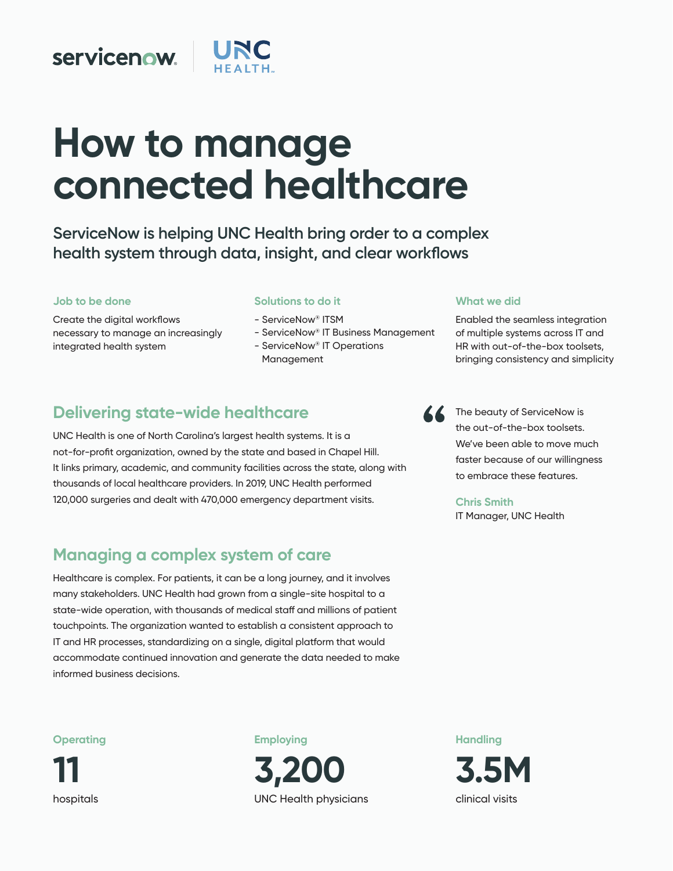## **servicenow**

# **How to manage connected healthcare**

**ServiceNow is helping UNC Health bring order to a complex health system through data, insight, and clear workflows**

#### **Job to be done**

Create the digital workflows necessary to manage an increasingly integrated health system

#### **Solutions to do it**

- ServiceNow® ITSM
- ServiceNow® IT Business Management
- ServiceNow® IT Operations
- Management

## **Delivering state-wide healthcare**

UNC Health is one of North Carolina's largest health systems. It is a not-for-profit organization, owned by the state and based in Chapel Hill. It links primary, academic, and community facilities across the state, along with thousands of local healthcare providers. In 2019, UNC Health performed 120,000 surgeries and dealt with 470,000 emergency department visits.

## **Managing a complex system of care**

Healthcare is complex. For patients, it can be a long journey, and it involves many stakeholders. UNC Health had grown from a single-site hospital to a state-wide operation, with thousands of medical staff and millions of patient touchpoints. The organization wanted to establish a consistent approach to IT and HR processes, standardizing on a single, digital platform that would accommodate continued innovation and generate the data needed to make informed business decisions.

## **Operating**

**11**  hospitals **Employing** 



**Handling 3.5M**  clinical visits

#### **What we did**

Enabled the seamless integration of multiple systems across IT and HR with out-of-the-box toolsets, bringing consistency and simplicity



The beauty of ServiceNow is the out-of-the-box toolsets. We've been able to move much faster because of our willingness to embrace these features.

#### **Chris Smith**

IT Manager, UNC Health